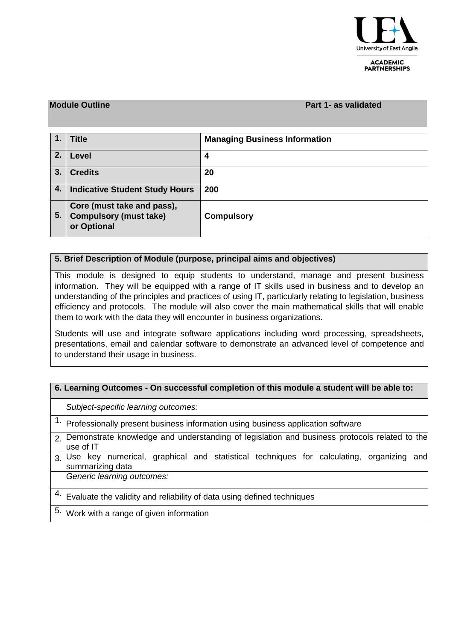

**ACADEMIC PARTNERSHIPS** 

#### **Module Outline Part 1- as validated**

|    | <b>Title</b>                                                               | <b>Managing Business Information</b> |
|----|----------------------------------------------------------------------------|--------------------------------------|
| 2. | Level                                                                      | 4                                    |
| 3. | <b>Credits</b>                                                             | 20                                   |
| 4. | <b>Indicative Student Study Hours</b>                                      | 200                                  |
| 5. | Core (must take and pass),<br><b>Compulsory (must take)</b><br>or Optional | <b>Compulsory</b>                    |

### **5. Brief Description of Module (purpose, principal aims and objectives)**

This module is designed to equip students to understand, manage and present business information. They will be equipped with a range of IT skills used in business and to develop an understanding of the principles and practices of using IT, particularly relating to legislation, business efficiency and protocols. The module will also cover the main mathematical skills that will enable them to work with the data they will encounter in business organizations.

Students will use and integrate software applications including word processing, spreadsheets, presentations, email and calendar software to demonstrate an advanced level of competence and to understand their usage in business.

### **6. Learning Outcomes - On successful completion of this module a student will be able to:**

*Subject-specific learning outcomes:*

- $\overline{1.}$  Professionally present business information using business application software
- 2. Demonstrate knowledge and understanding of legislation and business protocols related to the use of IT
- 3. Use key numerical, graphical and statistical techniques for calculating, organizing and summarizing data

*Generic learning outcomes:*

- $4.$  Evaluate the validity and reliability of data using defined techniques
- 5. Work with a range of given information